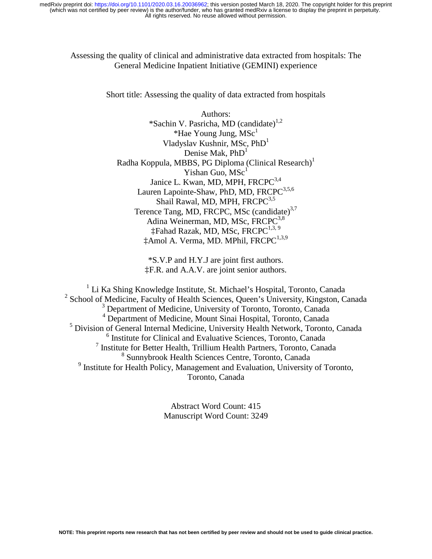### Assessing the quality of clinical and administrative data extracted from hospitals: The General Medicine Inpatient Initiative (GEMINI) experience

Short title: Assessing the quality of data extracted from hospitals

Authors: \*Sachin V. Pasricha, MD (candidate)<sup>1,2</sup> \*Hae Young Jung,  $MSc<sup>1</sup>$ Vladyslav Kushnir, MSc,  $PhD<sup>1</sup>$ Denise Mak,  $PhD<sup>1</sup>$ Radha Koppula, MBBS, PG Diploma (Clinical Research)<sup>1</sup> Yishan Guo,  $MSc<sup>1</sup>$ Janice L. Kwan, MD, MPH, FRCPC<sup>3,4</sup> Lauren Lapointe-Shaw, PhD, MD, FRCPC<sup>3,5,6</sup> Shail Rawal, MD, MPH, FRCPC<sup>3,5</sup> Terence Tang, MD, FRCPC, MSc (candidate)<sup>3,7</sup> Adina Weinerman, MD, MSc, FRCPC<sup>3,8</sup>  $\ddagger$ Fahad Razak, MD, MSc, FRCPC<sup>1,3, 9</sup>  $\ddagger$ Amol A. Verma, MD. MPhil, FRCPC<sup>1,3,9</sup>

> \*S.V.P and H.Y.J are joint first authors. ‡F.R. and A.A.V. are joint senior authors.

<sup>1</sup> Li Ka Shing Knowledge Institute, St. Michael's Hospital, Toronto, Canada <sup>2</sup> School of Medicine, Faculty of Health Sciences, Queen's University, Kingston, Canada 3 Department of Medicine, University of Toronto, Toronto, Canada 4 Department of Medicine, Mount Sinai Hospital, Toronto, Canada <sup>5</sup> Division of General Internal Medicine, University Health Network, Toronto, Canada 6 Institute for Clinical and Evaluative Sciences, Toronto, Canada <sup>7</sup> Institute for Better Health, Trillium Health Partners, Toronto, Canada 8 Sunnybrook Health Sciences Centre, Toronto, Canada <sup>9</sup> Institute for Health Policy, Management and Evaluation, University of Toronto, Toronto, Canada

> Abstract Word Count: 415 Manuscript Word Count: 3249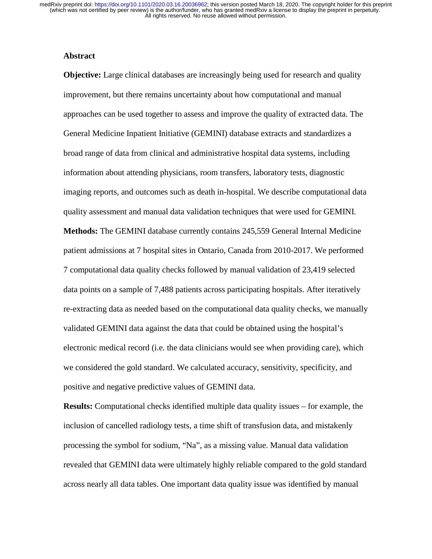#### **Abstract**

**Objective:** Large clinical databases are increasingly being used for research and quality improvement, but there remains uncertainty about how computational and manual approaches can be used together to assess and improve the quality of extracted data. The General Medicine Inpatient Initiative (GEMINI) database extracts and standardizes a broad range of data from clinical and administrative hospital data systems, including information about attending physicians, room transfers, laboratory tests, diagnostic imaging reports, and outcomes such as death in-hospital. We describe computational data quality assessment and manual data validation techniques that were used for GEMINI. **Methods:** The GEMINI database currently contains 245,559 General Internal Medicine patient admissions at 7 hospital sites in Ontario, Canada from 2010-2017. We performed 7 computational data quality checks followed by manual validation of 23,419 selected data points on a sample of 7,488 patients across participating hospitals. After iteratively re-extracting data as needed based on the computational data quality checks, we manually validated GEMINI data against the data that could be obtained using the hospital's electronic medical record (i.e. the data clinicians would see when providing care), which we considered the gold standard. We calculated accuracy, sensitivity, specificity, and positive and negative predictive values of GEMINI data.

**Results:** Computational checks identified multiple data quality issues – for example, the inclusion of cancelled radiology tests, a time shift of transfusion data, and mistakenly processing the symbol for sodium, "Na", as a missing value. Manual data validation revealed that GEMINI data were ultimately highly reliable compared to the gold standard across nearly all data tables. One important data quality issue was identified by manual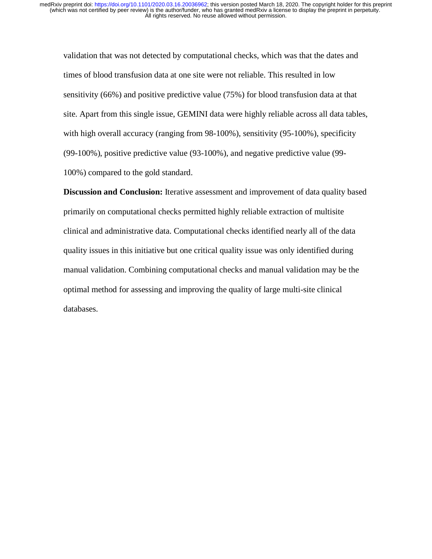validation that was not detected by computational checks, which was that the dates and times of blood transfusion data at one site were not reliable. This resulted in low sensitivity (66%) and positive predictive value (75%) for blood transfusion data at that site. Apart from this single issue, GEMINI data were highly reliable across all data tables, with high overall accuracy (ranging from 98-100%), sensitivity (95-100%), specificity (99-100%), positive predictive value (93-100%), and negative predictive value (99- 100%) compared to the gold standard.

**Discussion and Conclusion:** Iterative assessment and improvement of data quality based primarily on computational checks permitted highly reliable extraction of multisite clinical and administrative data. Computational checks identified nearly all of the data quality issues in this initiative but one critical quality issue was only identified during manual validation. Combining computational checks and manual validation may be the optimal method for assessing and improving the quality of large multi-site clinical databases.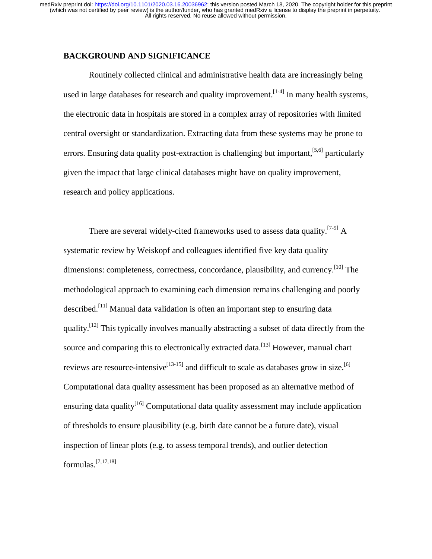## **BACKGROUND AND SIGNIFICANCE**

Routinely collected clinical and administrative health data are increasingly being used in large databases for research and quality improvement.  $[1-4]$  In many health systems, the electronic data in hospitals are stored in a complex array of repositories with limited central oversight or standardization. Extracting data from these systems may be prone to errors. Ensuring data quality post-extraction is challenging but important, <sup>[5,6]</sup> particularly given the impact that large clinical databases might have on quality improvement, research and policy applications.

There are several widely-cited frameworks used to assess data quality.<sup>[7-9]</sup> A systematic review by Weiskopf and colleagues identified five key data quality dimensions: completeness, correctness, concordance, plausibility, and currency.<sup>[10]</sup> The methodological approach to examining each dimension remains challenging and poorly described.<sup>[11]</sup> Manual data validation is often an important step to ensuring data quality.<sup>[12]</sup> This typically involves manually abstracting a subset of data directly from the source and comparing this to electronically extracted data.<sup>[13]</sup> However, manual chart reviews are resource-intensive<sup>[13-15]</sup> and difficult to scale as databases grow in size.<sup>[6]</sup> Computational data quality assessment has been proposed as an alternative method of ensuring data quality<sup>[16]</sup> Computational data quality assessment may include application of thresholds to ensure plausibility (e.g. birth date cannot be a future date), visual inspection of linear plots (e.g. to assess temporal trends), and outlier detection formulas.[7,17,18]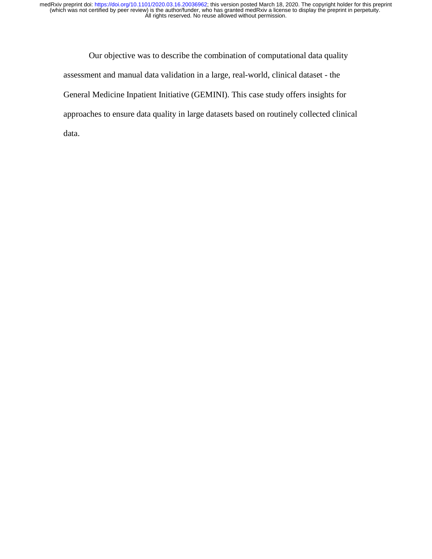Our objective was to describe the combination of computational data quality assessment and manual data validation in a large, real-world, clinical dataset - the General Medicine Inpatient Initiative (GEMINI). This case study offers insights for approaches to ensure data quality in large datasets based on routinely collected clinical data.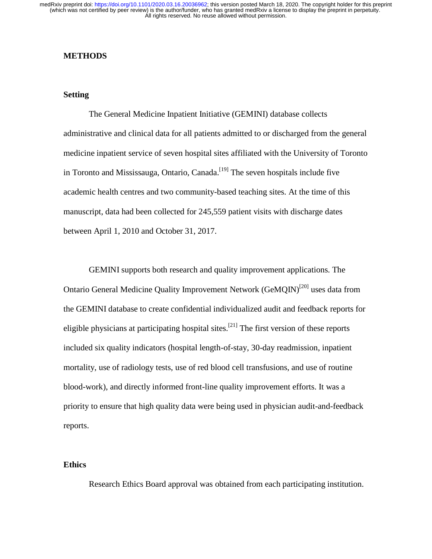#### **METHODS**

#### **Setting**

The General Medicine Inpatient Initiative (GEMINI) database collects administrative and clinical data for all patients admitted to or discharged from the general medicine inpatient service of seven hospital sites affiliated with the University of Toronto in Toronto and Mississauga, Ontario, Canada.<sup>[19]</sup> The seven hospitals include five academic health centres and two community-based teaching sites. At the time of this manuscript, data had been collected for 245,559 patient visits with discharge dates between April 1, 2010 and October 31, 2017.

GEMINI supports both research and quality improvement applications. The Ontario General Medicine Quality Improvement Network (GeMQIN)<sup>[20]</sup> uses data from the GEMINI database to create confidential individualized audit and feedback reports for eligible physicians at participating hospital sites.<sup>[21]</sup> The first version of these reports included six quality indicators (hospital length-of-stay, 30-day readmission, inpatient mortality, use of radiology tests, use of red blood cell transfusions, and use of routine blood-work), and directly informed front-line quality improvement efforts. It was a priority to ensure that high quality data were being used in physician audit-and-feedback reports.

#### **Ethics**

Research Ethics Board approval was obtained from each participating institution.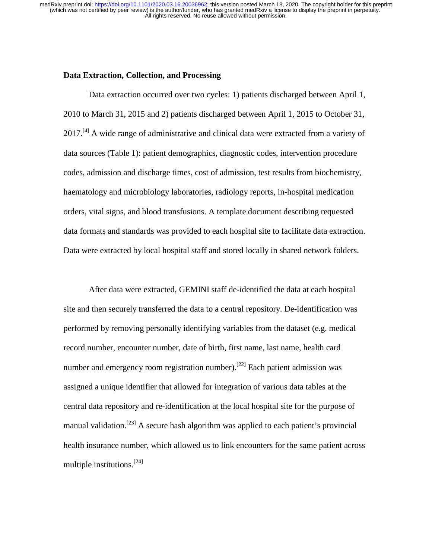#### **Data Extraction, Collection, and Processing**

Data extraction occurred over two cycles: 1) patients discharged between April 1, 2010 to March 31, 2015 and 2) patients discharged between April 1, 2015 to October 31,  $2017$ .<sup>[4]</sup> A wide range of administrative and clinical data were extracted from a variety of data sources (Table 1): patient demographics, diagnostic codes, intervention procedure codes, admission and discharge times, cost of admission, test results from biochemistry, haematology and microbiology laboratories, radiology reports, in-hospital medication orders, vital signs, and blood transfusions. A template document describing requested data formats and standards was provided to each hospital site to facilitate data extraction. Data were extracted by local hospital staff and stored locally in shared network folders.

After data were extracted, GEMINI staff de-identified the data at each hospital site and then securely transferred the data to a central repository. De-identification was performed by removing personally identifying variables from the dataset (e.g. medical record number, encounter number, date of birth, first name, last name, health card number and emergency room registration number).<sup>[22]</sup> Each patient admission was assigned a unique identifier that allowed for integration of various data tables at the central data repository and re-identification at the local hospital site for the purpose of manual validation.<sup>[23]</sup> A secure hash algorithm was applied to each patient's provincial health insurance number, which allowed us to link encounters for the same patient across multiple institutions.[24]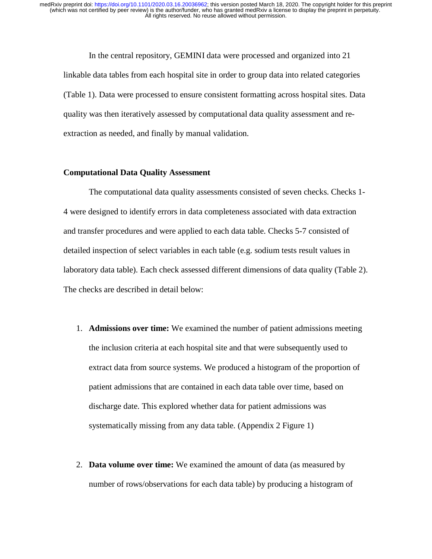In the central repository, GEMINI data were processed and organized into 21 linkable data tables from each hospital site in order to group data into related categories (Table 1). Data were processed to ensure consistent formatting across hospital sites. Data quality was then iteratively assessed by computational data quality assessment and reextraction as needed, and finally by manual validation.

#### **Computational Data Quality Assessment**

The computational data quality assessments consisted of seven checks. Checks 1- 4 were designed to identify errors in data completeness associated with data extraction and transfer procedures and were applied to each data table. Checks 5-7 consisted of detailed inspection of select variables in each table (e.g. sodium tests result values in laboratory data table). Each check assessed different dimensions of data quality (Table 2). The checks are described in detail below:

- 1. **Admissions over time:** We examined the number of patient admissions meeting the inclusion criteria at each hospital site and that were subsequently used to extract data from source systems. We produced a histogram of the proportion of patient admissions that are contained in each data table over time, based on discharge date. This explored whether data for patient admissions was systematically missing from any data table. (Appendix 2 Figure 1)
- 2. **Data volume over time:** We examined the amount of data (as measured by number of rows/observations for each data table) by producing a histogram of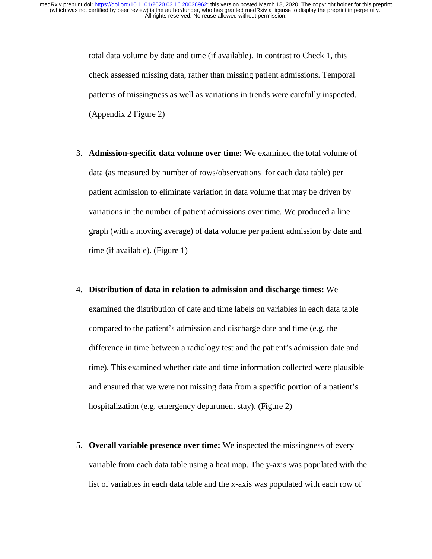total data volume by date and time (if available). In contrast to Check 1, this check assessed missing data, rather than missing patient admissions. Temporal patterns of missingness as well as variations in trends were carefully inspected. (Appendix 2 Figure 2)

- 3. **Admission-specific data volume over time:** We examined the total volume of data (as measured by number of rows/observations for each data table) per patient admission to eliminate variation in data volume that may be driven by variations in the number of patient admissions over time. We produced a line graph (with a moving average) of data volume per patient admission by date and time (if available). (Figure 1)
- 4. **Distribution of data in relation to admission and discharge times:** We examined the distribution of date and time labels on variables in each data table compared to the patient's admission and discharge date and time (e.g. the difference in time between a radiology test and the patient's admission date and time). This examined whether date and time information collected were plausible and ensured that we were not missing data from a specific portion of a patient's hospitalization (e.g. emergency department stay). (Figure 2)
- 5. **Overall variable presence over time:** We inspected the missingness of every variable from each data table using a heat map. The y-axis was populated with the list of variables in each data table and the x-axis was populated with each row of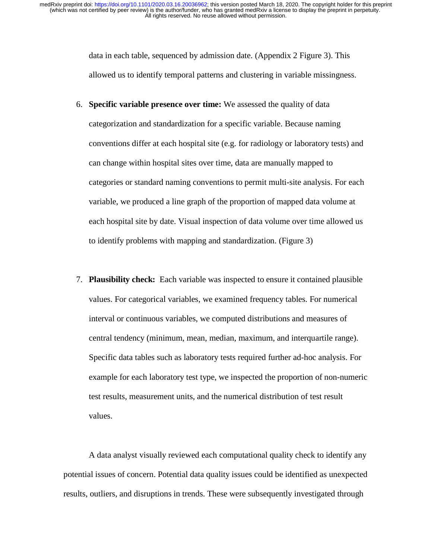> data in each table, sequenced by admission date. (Appendix 2 Figure 3). This allowed us to identify temporal patterns and clustering in variable missingness.

- 6. **Specific variable presence over time:** We assessed the quality of data categorization and standardization for a specific variable. Because naming conventions differ at each hospital site (e.g. for radiology or laboratory tests) and can change within hospital sites over time, data are manually mapped to categories or standard naming conventions to permit multi-site analysis. For each variable, we produced a line graph of the proportion of mapped data volume at each hospital site by date. Visual inspection of data volume over time allowed us to identify problems with mapping and standardization. (Figure 3)
- 7. **Plausibility check:** Each variable was inspected to ensure it contained plausible values. For categorical variables, we examined frequency tables. For numerical interval or continuous variables, we computed distributions and measures of central tendency (minimum, mean, median, maximum, and interquartile range). Specific data tables such as laboratory tests required further ad-hoc analysis. For example for each laboratory test type, we inspected the proportion of non-numeric test results, measurement units, and the numerical distribution of test result values.

A data analyst visually reviewed each computational quality check to identify any potential issues of concern. Potential data quality issues could be identified as unexpected results, outliers, and disruptions in trends. These were subsequently investigated through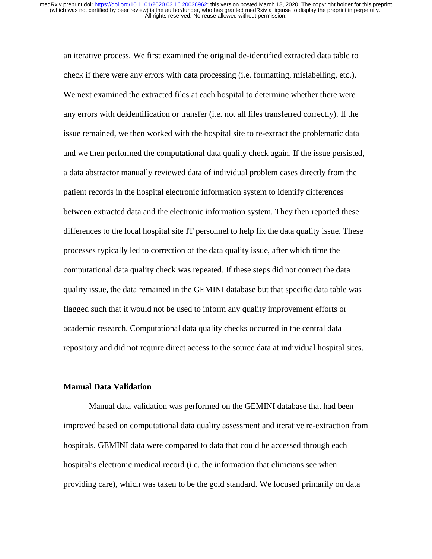an iterative process. We first examined the original de-identified extracted data table to check if there were any errors with data processing (i.e. formatting, mislabelling, etc.). We next examined the extracted files at each hospital to determine whether there were any errors with deidentification or transfer (i.e. not all files transferred correctly). If the issue remained, we then worked with the hospital site to re-extract the problematic data and we then performed the computational data quality check again. If the issue persisted, a data abstractor manually reviewed data of individual problem cases directly from the patient records in the hospital electronic information system to identify differences between extracted data and the electronic information system. They then reported these differences to the local hospital site IT personnel to help fix the data quality issue. These processes typically led to correction of the data quality issue, after which time the computational data quality check was repeated. If these steps did not correct the data quality issue, the data remained in the GEMINI database but that specific data table was flagged such that it would not be used to inform any quality improvement efforts or academic research. Computational data quality checks occurred in the central data repository and did not require direct access to the source data at individual hospital sites.

#### **Manual Data Validation**

Manual data validation was performed on the GEMINI database that had been improved based on computational data quality assessment and iterative re-extraction from hospitals. GEMINI data were compared to data that could be accessed through each hospital's electronic medical record (i.e. the information that clinicians see when providing care), which was taken to be the gold standard. We focused primarily on data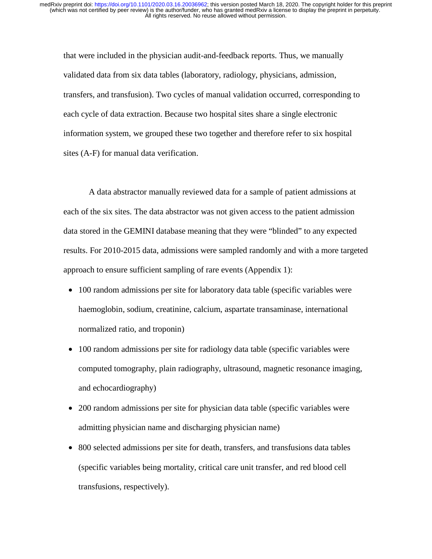that were included in the physician audit-and-feedback reports. Thus, we manually validated data from six data tables (laboratory, radiology, physicians, admission, transfers, and transfusion). Two cycles of manual validation occurred, corresponding to each cycle of data extraction. Because two hospital sites share a single electronic information system, we grouped these two together and therefore refer to six hospital sites (A-F) for manual data verification.

A data abstractor manually reviewed data for a sample of patient admissions at each of the six sites. The data abstractor was not given access to the patient admission data stored in the GEMINI database meaning that they were "blinded" to any expected results. For 2010-2015 data, admissions were sampled randomly and with a more targeted approach to ensure sufficient sampling of rare events (Appendix 1):

- 100 random admissions per site for laboratory data table (specific variables were haemoglobin, sodium, creatinine, calcium, aspartate transaminase, international normalized ratio, and troponin)
- 100 random admissions per site for radiology data table (specific variables were computed tomography, plain radiography, ultrasound, magnetic resonance imaging, and echocardiography)
- 200 random admissions per site for physician data table (specific variables were admitting physician name and discharging physician name)
- 800 selected admissions per site for death, transfers, and transfusions data tables (specific variables being mortality, critical care unit transfer, and red blood cell transfusions, respectively).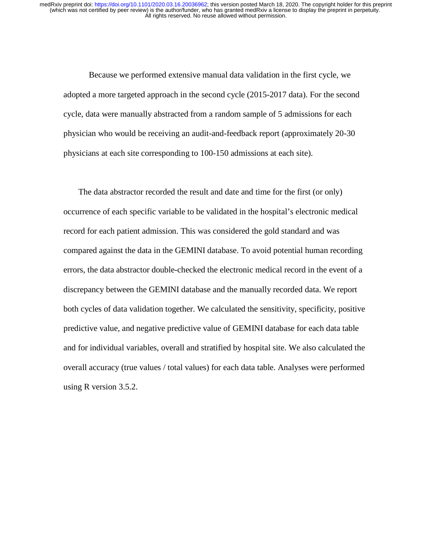Because we performed extensive manual data validation in the first cycle, we adopted a more targeted approach in the second cycle (2015-2017 data). For the second cycle, data were manually abstracted from a random sample of 5 admissions for each physician who would be receiving an audit-and-feedback report (approximately 20-30 physicians at each site corresponding to 100-150 admissions at each site).

The data abstractor recorded the result and date and time for the first (or only) occurrence of each specific variable to be validated in the hospital's electronic medical record for each patient admission. This was considered the gold standard and was compared against the data in the GEMINI database. To avoid potential human recording errors, the data abstractor double-checked the electronic medical record in the event of a discrepancy between the GEMINI database and the manually recorded data. We report both cycles of data validation together. We calculated the sensitivity, specificity, positive predictive value, and negative predictive value of GEMINI database for each data table and for individual variables, overall and stratified by hospital site. We also calculated the overall accuracy (true values / total values) for each data table. Analyses were performed using R version 3.5.2.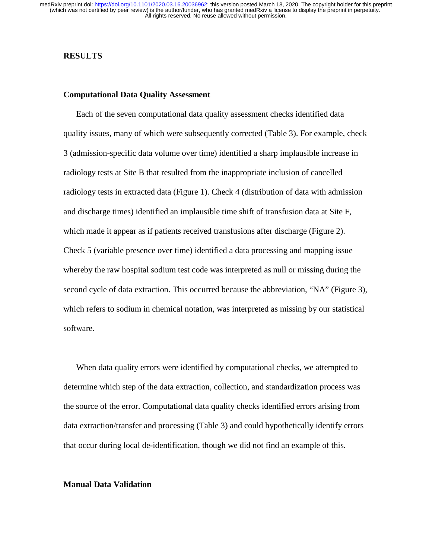#### **RESULTS**

#### **Computational Data Quality Assessment**

Each of the seven computational data quality assessment checks identified data quality issues, many of which were subsequently corrected (Table 3). For example, check 3 (admission-specific data volume over time) identified a sharp implausible increase in radiology tests at Site B that resulted from the inappropriate inclusion of cancelled radiology tests in extracted data (Figure 1). Check 4 (distribution of data with admission and discharge times) identified an implausible time shift of transfusion data at Site F, which made it appear as if patients received transfusions after discharge (Figure 2). Check 5 (variable presence over time) identified a data processing and mapping issue whereby the raw hospital sodium test code was interpreted as null or missing during the second cycle of data extraction. This occurred because the abbreviation, "NA" (Figure 3), which refers to sodium in chemical notation, was interpreted as missing by our statistical software.

When data quality errors were identified by computational checks, we attempted to determine which step of the data extraction, collection, and standardization process was the source of the error. Computational data quality checks identified errors arising from data extraction/transfer and processing (Table 3) and could hypothetically identify errors that occur during local de-identification, though we did not find an example of this.

#### **Manual Data Validation**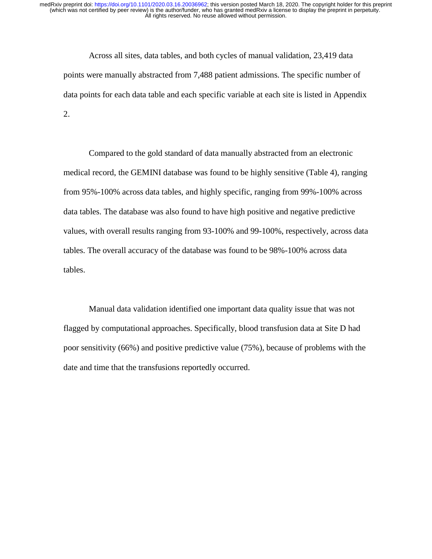Across all sites, data tables, and both cycles of manual validation, 23,419 data points were manually abstracted from 7,488 patient admissions. The specific number of data points for each data table and each specific variable at each site is listed in Appendix 2.

Compared to the gold standard of data manually abstracted from an electronic medical record, the GEMINI database was found to be highly sensitive (Table 4), ranging from 95%-100% across data tables, and highly specific, ranging from 99%-100% across data tables. The database was also found to have high positive and negative predictive values, with overall results ranging from 93-100% and 99-100%, respectively, across data tables. The overall accuracy of the database was found to be 98%-100% across data tables.

Manual data validation identified one important data quality issue that was not flagged by computational approaches. Specifically, blood transfusion data at Site D had poor sensitivity (66%) and positive predictive value (75%), because of problems with the date and time that the transfusions reportedly occurred.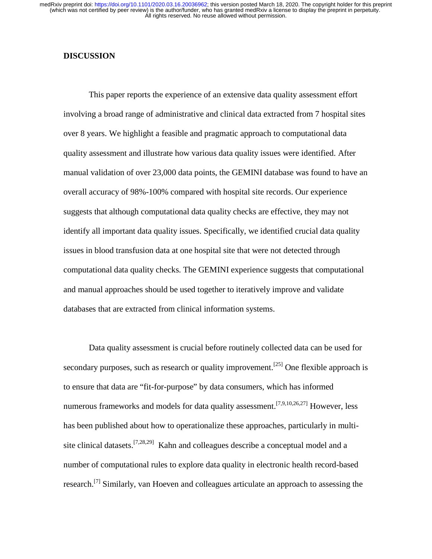#### **DISCUSSION**

 This paper reports the experience of an extensive data quality assessment effort involving a broad range of administrative and clinical data extracted from 7 hospital sites over 8 years. We highlight a feasible and pragmatic approach to computational data quality assessment and illustrate how various data quality issues were identified. After manual validation of over 23,000 data points, the GEMINI database was found to have an overall accuracy of 98%-100% compared with hospital site records. Our experience suggests that although computational data quality checks are effective, they may not identify all important data quality issues. Specifically, we identified crucial data quality issues in blood transfusion data at one hospital site that were not detected through computational data quality checks. The GEMINI experience suggests that computational and manual approaches should be used together to iteratively improve and validate databases that are extracted from clinical information systems.

Data quality assessment is crucial before routinely collected data can be used for secondary purposes, such as research or quality improvement.<sup>[25]</sup> One flexible approach is to ensure that data are "fit-for-purpose" by data consumers, which has informed numerous frameworks and models for data quality assessment.<sup>[7,9,10,26,27]</sup> However, less has been published about how to operationalize these approaches, particularly in multisite clinical datasets.<sup>[7,28,29]</sup> Kahn and colleagues describe a conceptual model and a number of computational rules to explore data quality in electronic health record-based research.[7] Similarly, van Hoeven and colleagues articulate an approach to assessing the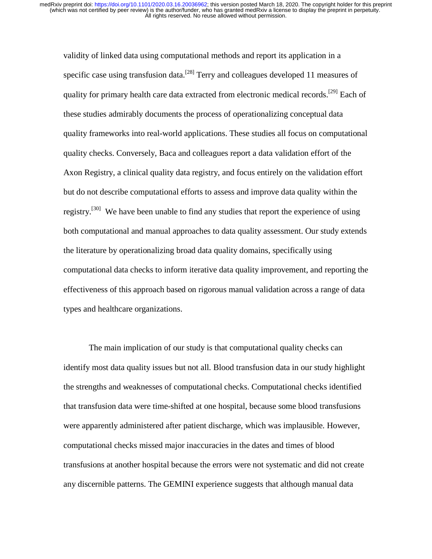validity of linked data using computational methods and report its application in a specific case using transfusion data.<sup>[28]</sup> Terry and colleagues developed 11 measures of quality for primary health care data extracted from electronic medical records.<sup>[29]</sup> Each of these studies admirably documents the process of operationalizing conceptual data quality frameworks into real-world applications. These studies all focus on computational quality checks. Conversely, Baca and colleagues report a data validation effort of the Axon Registry, a clinical quality data registry, and focus entirely on the validation effort but do not describe computational efforts to assess and improve data quality within the registry.<sup>[30]</sup> We have been unable to find any studies that report the experience of using both computational and manual approaches to data quality assessment. Our study extends the literature by operationalizing broad data quality domains, specifically using computational data checks to inform iterative data quality improvement, and reporting the effectiveness of this approach based on rigorous manual validation across a range of data types and healthcare organizations.

The main implication of our study is that computational quality checks can identify most data quality issues but not all. Blood transfusion data in our study highlight the strengths and weaknesses of computational checks. Computational checks identified that transfusion data were time-shifted at one hospital, because some blood transfusions were apparently administered after patient discharge, which was implausible. However, computational checks missed major inaccuracies in the dates and times of blood transfusions at another hospital because the errors were not systematic and did not create any discernible patterns. The GEMINI experience suggests that although manual data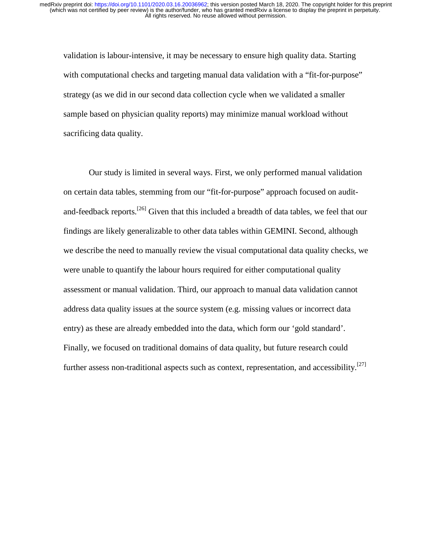validation is labour-intensive, it may be necessary to ensure high quality data. Starting with computational checks and targeting manual data validation with a "fit-for-purpose" strategy (as we did in our second data collection cycle when we validated a smaller sample based on physician quality reports) may minimize manual workload without sacrificing data quality.

 Our study is limited in several ways. First, we only performed manual validation on certain data tables, stemming from our "fit-for-purpose" approach focused on auditand-feedback reports.<sup>[26]</sup> Given that this included a breadth of data tables, we feel that our findings are likely generalizable to other data tables within GEMINI. Second, although we describe the need to manually review the visual computational data quality checks, we were unable to quantify the labour hours required for either computational quality assessment or manual validation. Third, our approach to manual data validation cannot address data quality issues at the source system (e.g. missing values or incorrect data entry) as these are already embedded into the data, which form our 'gold standard'. Finally, we focused on traditional domains of data quality, but future research could further assess non-traditional aspects such as context, representation, and accessibility.<sup>[27]</sup>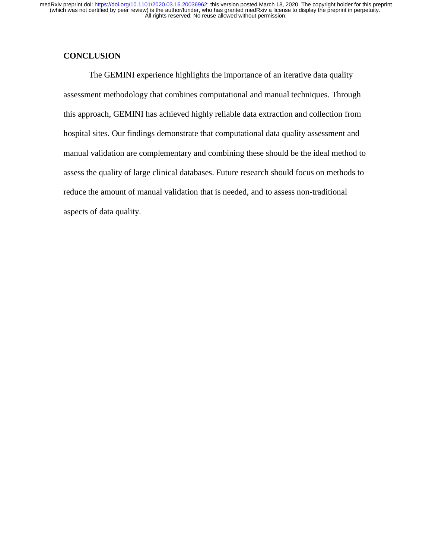# **CONCLUSION**

The GEMINI experience highlights the importance of an iterative data quality assessment methodology that combines computational and manual techniques. Through this approach, GEMINI has achieved highly reliable data extraction and collection from hospital sites. Our findings demonstrate that computational data quality assessment and manual validation are complementary and combining these should be the ideal method to assess the quality of large clinical databases. Future research should focus on methods to reduce the amount of manual validation that is needed, and to assess non-traditional aspects of data quality.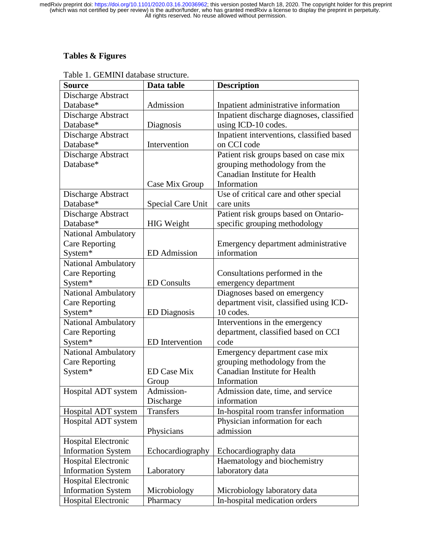# **Tables & Figures**

| <b>Source</b>              | Data table             | <b>Description</b>                        |  |  |
|----------------------------|------------------------|-------------------------------------------|--|--|
| Discharge Abstract         |                        |                                           |  |  |
| Database*                  | Admission              | Inpatient administrative information      |  |  |
| Discharge Abstract         |                        | Inpatient discharge diagnoses, classified |  |  |
| Database*                  | Diagnosis              | using ICD-10 codes.                       |  |  |
| Discharge Abstract         |                        | Inpatient interventions, classified based |  |  |
| Database*                  | Intervention           | on CCI code                               |  |  |
| Discharge Abstract         |                        | Patient risk groups based on case mix     |  |  |
| Database*                  |                        | grouping methodology from the             |  |  |
|                            |                        | <b>Canadian Institute for Health</b>      |  |  |
|                            | Case Mix Group         | Information                               |  |  |
| Discharge Abstract         |                        | Use of critical care and other special    |  |  |
| Database*                  | Special Care Unit      | care units                                |  |  |
| Discharge Abstract         |                        | Patient risk groups based on Ontario-     |  |  |
| Database*                  | <b>HIG</b> Weight      | specific grouping methodology             |  |  |
| National Ambulatory        |                        |                                           |  |  |
| <b>Care Reporting</b>      |                        | Emergency department administrative       |  |  |
| System*                    | <b>ED</b> Admission    | information                               |  |  |
| <b>National Ambulatory</b> |                        |                                           |  |  |
| <b>Care Reporting</b>      |                        | Consultations performed in the            |  |  |
| System*                    | <b>ED</b> Consults     | emergency department                      |  |  |
| <b>National Ambulatory</b> |                        | Diagnoses based on emergency              |  |  |
| <b>Care Reporting</b>      |                        | department visit, classified using ICD-   |  |  |
| System*                    | <b>ED</b> Diagnosis    | 10 codes.                                 |  |  |
| <b>National Ambulatory</b> |                        | Interventions in the emergency            |  |  |
| <b>Care Reporting</b>      |                        | department, classified based on CCI       |  |  |
| System*                    | <b>ED</b> Intervention | code                                      |  |  |
| <b>National Ambulatory</b> |                        | Emergency department case mix             |  |  |
| <b>Care Reporting</b>      |                        | grouping methodology from the             |  |  |
| System*                    | <b>ED Case Mix</b>     | <b>Canadian Institute for Health</b>      |  |  |
|                            | Group                  | Information                               |  |  |
| Hospital ADT system        | Admission-             | Admission date, time, and service         |  |  |
|                            | Discharge              | information                               |  |  |
| Hospital ADT system        | <b>Transfers</b>       | In-hospital room transfer information     |  |  |
| Hospital ADT system        |                        | Physician information for each            |  |  |
|                            | Physicians             | admission                                 |  |  |
| <b>Hospital Electronic</b> |                        |                                           |  |  |
| <b>Information System</b>  | Echocardiography       | Echocardiography data                     |  |  |
| <b>Hospital Electronic</b> |                        | Haematology and biochemistry              |  |  |
| <b>Information System</b>  | Laboratory             | laboratory data                           |  |  |
| <b>Hospital Electronic</b> |                        |                                           |  |  |
| <b>Information System</b>  | Microbiology           | Microbiology laboratory data              |  |  |
| Hospital Electronic        | Pharmacy               | In-hospital medication orders             |  |  |

Table 1. GEMINI database structure.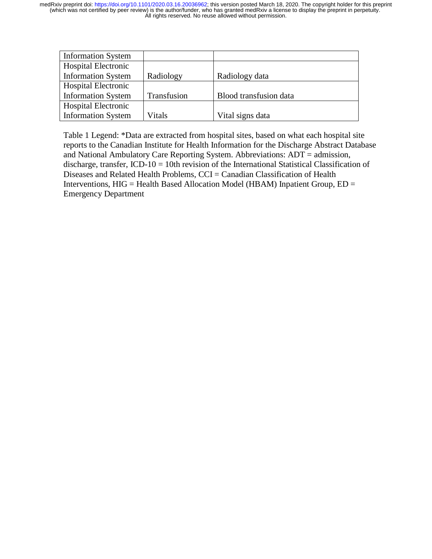| <b>Information System</b>  |               |                        |
|----------------------------|---------------|------------------------|
| <b>Hospital Electronic</b> |               |                        |
| <b>Information System</b>  | Radiology     | Radiology data         |
| <b>Hospital Electronic</b> |               |                        |
| <b>Information System</b>  | Transfusion   | Blood transfusion data |
| <b>Hospital Electronic</b> |               |                        |
| <b>Information System</b>  | <b>Vitals</b> | Vital signs data       |

Table 1 Legend: \*Data are extracted from hospital sites, based on what each hospital site reports to the Canadian Institute for Health Information for the Discharge Abstract Database and National Ambulatory Care Reporting System. Abbreviations: ADT = admission, discharge, transfer, ICD-10 = 10th revision of the International Statistical Classification of Diseases and Related Health Problems, CCI = Canadian Classification of Health Interventions,  $HIG = Health Based Allocation Model (HBAM) Inpatient Group, ED =$ Emergency Department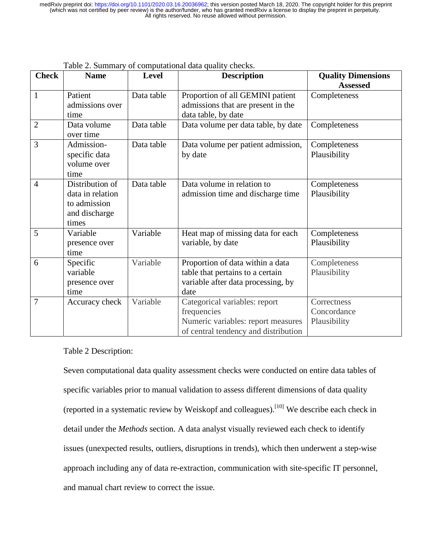| <b>Check</b>   | <b>Name</b>                                                                   | Level      | I abic 2. Summary of computational data quality checks.<br><b>Description</b>                                              | <b>Quality Dimensions</b>                  |  |
|----------------|-------------------------------------------------------------------------------|------------|----------------------------------------------------------------------------------------------------------------------------|--------------------------------------------|--|
|                |                                                                               |            |                                                                                                                            | <b>Assessed</b>                            |  |
| $\mathbf{1}$   | Patient<br>admissions over<br>time                                            | Data table | Proportion of all GEMINI patient<br>admissions that are present in the<br>data table, by date                              | Completeness                               |  |
| $\overline{2}$ | Data volume<br>over time                                                      | Data table | Data volume per data table, by date                                                                                        | Completeness                               |  |
| 3              | Admission-<br>specific data<br>volume over<br>time                            | Data table | Data volume per patient admission,<br>by date                                                                              | Completeness<br>Plausibility               |  |
| $\overline{4}$ | Distribution of<br>data in relation<br>to admission<br>and discharge<br>times | Data table | Data volume in relation to<br>admission time and discharge time                                                            | Completeness<br>Plausibility               |  |
| 5              | Variable<br>presence over<br>time                                             | Variable   | Heat map of missing data for each<br>variable, by date                                                                     | Completeness<br>Plausibility               |  |
| 6              | Specific<br>variable<br>presence over<br>time                                 | Variable   | Proportion of data within a data<br>table that pertains to a certain<br>variable after data processing, by<br>date         | Completeness<br>Plausibility               |  |
| 7              | Accuracy check                                                                | Variable   | Categorical variables: report<br>frequencies<br>Numeric variables: report measures<br>of central tendency and distribution | Correctness<br>Concordance<br>Plausibility |  |

Table 2. Summary of computational data quality checks.

Table 2 Description:

Seven computational data quality assessment checks were conducted on entire data tables of specific variables prior to manual validation to assess different dimensions of data quality (reported in a systematic review by Weiskopf and colleagues).<sup>[10]</sup> We describe each check in detail under the *Methods* section. A data analyst visually reviewed each check to identify issues (unexpected results, outliers, disruptions in trends), which then underwent a step-wise approach including any of data re-extraction, communication with site-specific IT personnel, and manual chart review to correct the issue.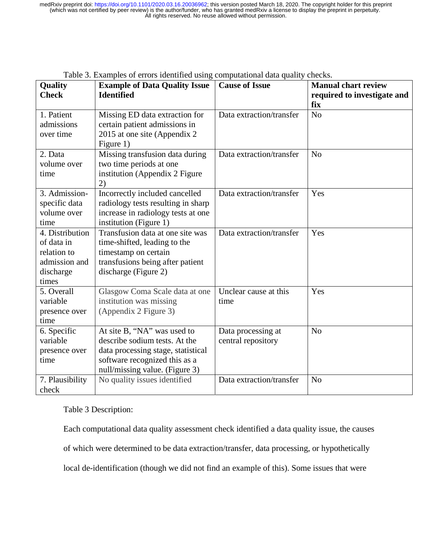| <b>Quality</b>  | <b>Example of Data Quality Issue</b> | <b>Cause of Issue</b>    | <b>Manual chart review</b>  |  |  |
|-----------------|--------------------------------------|--------------------------|-----------------------------|--|--|
| <b>Check</b>    | <b>Identified</b>                    |                          | required to investigate and |  |  |
|                 |                                      |                          | fix                         |  |  |
| 1. Patient      | Missing ED data extraction for       | Data extraction/transfer | N <sub>o</sub>              |  |  |
| admissions      | certain patient admissions in        |                          |                             |  |  |
| over time       | 2015 at one site (Appendix 2)        |                          |                             |  |  |
|                 | Figure 1)                            |                          |                             |  |  |
| 2. Data         | Missing transfusion data during      | Data extraction/transfer | N <sub>o</sub>              |  |  |
| volume over     | two time periods at one              |                          |                             |  |  |
| time            | institution (Appendix 2 Figure       |                          |                             |  |  |
|                 | 2)                                   |                          |                             |  |  |
| 3. Admission-   | Incorrectly included cancelled       | Data extraction/transfer | Yes                         |  |  |
| specific data   | radiology tests resulting in sharp   |                          |                             |  |  |
| volume over     | increase in radiology tests at one   |                          |                             |  |  |
| time            | institution (Figure 1)               |                          |                             |  |  |
| 4. Distribution | Transfusion data at one site was     | Data extraction/transfer | Yes                         |  |  |
| of data in      | time-shifted, leading to the         |                          |                             |  |  |
| relation to     | timestamp on certain                 |                          |                             |  |  |
| admission and   | transfusions being after patient     |                          |                             |  |  |
| discharge       | discharge (Figure 2)                 |                          |                             |  |  |
| times           |                                      |                          |                             |  |  |
| 5. Overall      | Glasgow Coma Scale data at one       | Unclear cause at this    | Yes                         |  |  |
| variable        | institution was missing              | time                     |                             |  |  |
| presence over   | (Appendix 2 Figure 3)                |                          |                             |  |  |
| time            |                                      |                          |                             |  |  |
| 6. Specific     | At site B, "NA" was used to          | Data processing at       | N <sub>o</sub>              |  |  |
| variable        | describe sodium tests. At the        | central repository       |                             |  |  |
| presence over   | data processing stage, statistical   |                          |                             |  |  |
| time            | software recognized this as a        |                          |                             |  |  |
|                 | null/missing value. (Figure 3)       |                          |                             |  |  |
| 7. Plausibility | No quality issues identified         | Data extraction/transfer | N <sub>o</sub>              |  |  |
| check           |                                      |                          |                             |  |  |

|  |  | Table 3. Examples of errors identified using computational data quality checks. |
|--|--|---------------------------------------------------------------------------------|
|  |  |                                                                                 |

Table 3 Description:

Each computational data quality assessment check identified a data quality issue, the causes of which were determined to be data extraction/transfer, data processing, or hypothetically local de-identification (though we did not find an example of this). Some issues that were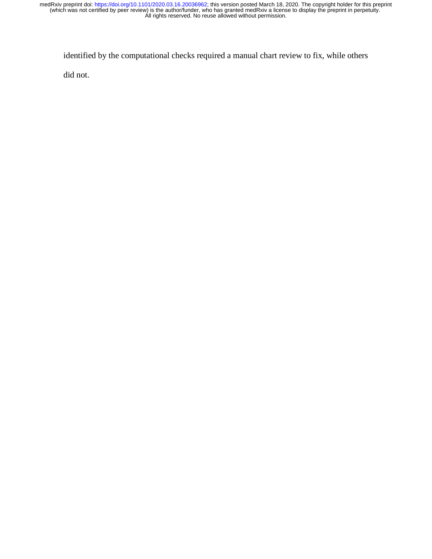identified by the computational checks required a manual chart review to fix, while others

did not.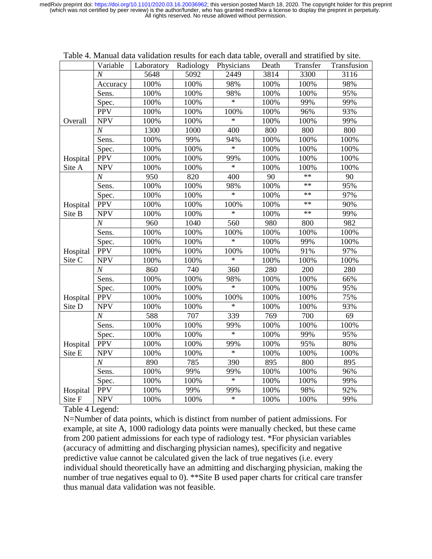|                    | Variable         | Laboratory | Radiology | Physicians | Death | Transfer   | Transfusion |
|--------------------|------------------|------------|-----------|------------|-------|------------|-------------|
|                    | $\overline{N}$   | 5648       | 5092      | 2449       | 3814  | 3300       | 3116        |
|                    | Accuracy         | 100%       | 100%      | 98%        | 100%  | 100%       | 98%         |
|                    | Sens.            | 100%       | 100%      | 98%        | 100%  | 100%       | 95%         |
|                    | Spec.            | 100%       | 100%      | $\ast$     | 100%  | 99%        | 99%         |
|                    | <b>PPV</b>       | 100%       | 100%      | 100%       | 100%  | 96%        | 93%         |
| Overall            | <b>NPV</b>       | 100%       | 100%      | $\ast$     | 100%  | 100%       | 99%         |
|                    | $\cal N$         | 1300       | 1000      | 400        | 800   | 800        | 800         |
|                    | Sens.            | 100%       | 99%       | 94%        | 100%  | 100%       | 100%        |
|                    | Spec.            | 100%       | 100%      | $\ast$     | 100%  | 100%       | 100%        |
| Hospital           | <b>PPV</b>       | 100%       | 100%      | 99%        | 100%  | 100%       | 100%        |
| Site A             | <b>NPV</b>       | 100%       | 100%      | $\ast$     | 100%  | 100%       | 100%        |
|                    | $\boldsymbol{N}$ | 950        | 820       | 400        | 90    | $**$       | 90          |
|                    | Sens.            | 100%       | 100%      | 98%        | 100%  | $**$       | 95%         |
|                    | Spec.            | 100%       | 100%      | $\ast$     | 100%  | $\ast\ast$ | 97%         |
| Hospital           | <b>PPV</b>       | 100%       | 100%      | 100%       | 100%  | $**$       | 90%         |
| Site B             | <b>NPV</b>       | 100%       | 100%      | $\ast$     | 100%  | $**$       | 99%         |
|                    | $\boldsymbol{N}$ | 960        | 1040      | 560        | 980   | 800        | 982         |
|                    | Sens.            | 100%       | 100%      | 100%       | 100%  | 100%       | 100%        |
|                    | Spec.            | 100%       | 100%      | $\ast$     | 100%  | 99%        | 100%        |
| Hospital           | <b>PPV</b>       | 100%       | 100%      | 100%       | 100%  | 91%        | 97%         |
| Site C             | <b>NPV</b>       | 100%       | 100%      | $\ast$     | 100%  | 100%       | 100%        |
|                    | $\boldsymbol{N}$ | 860        | 740       | 360        | 280   | 200        | 280         |
|                    | Sens.            | 100%       | 100%      | 98%        | 100%  | 100%       | 66%         |
|                    | Spec.            | 100%       | 100%      | $\ast$     | 100%  | 100%       | 95%         |
| Hospital           | <b>PPV</b>       | 100%       | 100%      | 100%       | 100%  | 100%       | 75%         |
| Site D             | <b>NPV</b>       | 100%       | 100%      | $\ast$     | 100%  | 100%       | 93%         |
|                    | $\boldsymbol{N}$ | 588        | 707       | 339        | 769   | 700        | 69          |
|                    | Sens.            | 100%       | 100%      | 99%        | 100%  | 100%       | 100%        |
|                    | Spec.            | 100%       | 100%      | $\ast$     | 100%  | 99%        | 95%         |
| Hospital<br>Site E | <b>PPV</b>       | 100%       | 100%      | 99%        | 100%  | 95%        | 80%         |
|                    | <b>NPV</b>       | 100%       | 100%      | $\ast$     | 100%  | 100%       | 100%        |
|                    | $\overline{N}$   | 890        | 785       | 390        | 895   | 800        | 895         |
|                    | Sens.            | 100%       | 99%       | 99%        | 100%  | 100%       | 96%         |
|                    | Spec.            | 100%       | 100%      | $\ast$     | 100%  | 100%       | 99%         |
| Hospital           | <b>PPV</b>       | 100%       | 99%       | 99%        | 100%  | 98%        | 92%         |
| Site F             | <b>NPV</b>       | 100%       | 100%      | $\ast$     | 100%  | 100%       | 99%         |

Table 4. Manual data validation results for each data table, overall and stratified by site.

Table 4 Legend:

N=Number of data points, which is distinct from number of patient admissions. For example, at site A, 1000 radiology data points were manually checked, but these came from 200 patient admissions for each type of radiology test. \*For physician variables (accuracy of admitting and discharging physician names), specificity and negative predictive value cannot be calculated given the lack of true negatives (i.e. every individual should theoretically have an admitting and discharging physician, making the number of true negatives equal to 0). \*\*Site B used paper charts for critical care transfer thus manual data validation was not feasible.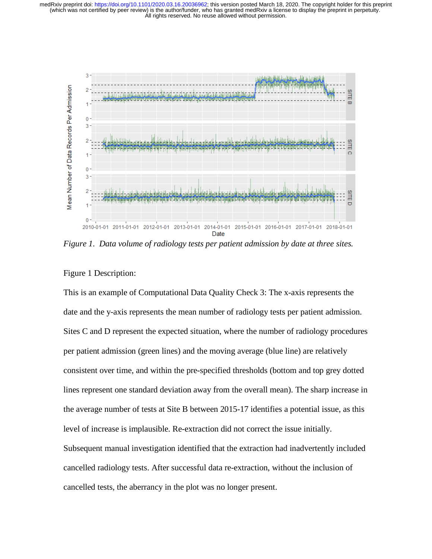

*Figure 1. Data volume of radiology tests per patient admission by date at three sites.* 

# Figure 1 Description:

This is an example of Computational Data Quality Check 3: The x-axis represents the date and the y-axis represents the mean number of radiology tests per patient admission. Sites C and D represent the expected situation, where the number of radiology procedures per patient admission (green lines) and the moving average (blue line) are relatively consistent over time, and within the pre-specified thresholds (bottom and top grey dotted lines represent one standard deviation away from the overall mean). The sharp increase in the average number of tests at Site B between 2015-17 identifies a potential issue, as this level of increase is implausible. Re-extraction did not correct the issue initially. Subsequent manual investigation identified that the extraction had inadvertently included cancelled radiology tests. After successful data re-extraction, without the inclusion of cancelled tests, the aberrancy in the plot was no longer present.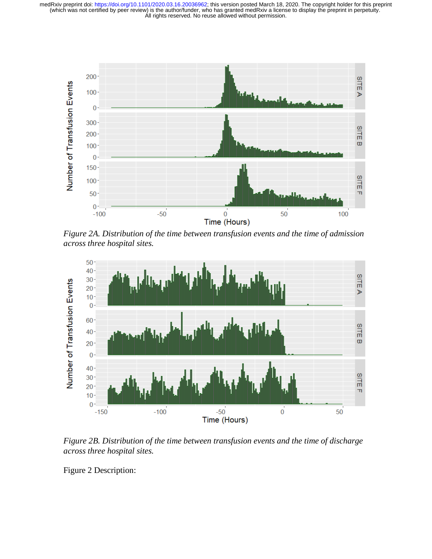

*Figure 2A. Distribution of the time between transfusion events and the time of admission across three hospital sites.* 



*Figure 2B. Distribution of the time between transfusion events and the time of discharge across three hospital sites.* 

Figure 2 Description: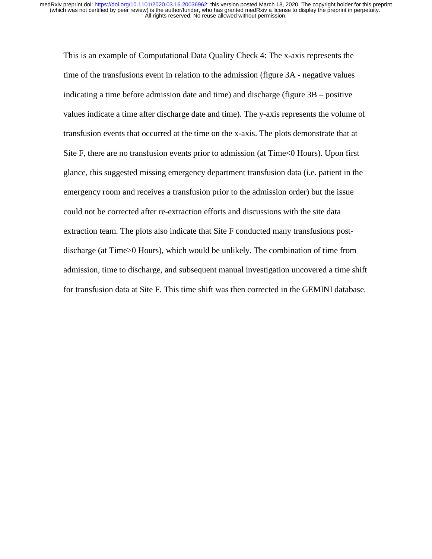This is an example of Computational Data Quality Check 4: The x-axis represents the time of the transfusions event in relation to the admission (figure 3A - negative values indicating a time before admission date and time) and discharge (figure 3B – positive values indicate a time after discharge date and time). The y-axis represents the volume of transfusion events that occurred at the time on the x-axis. The plots demonstrate that at Site F, there are no transfusion events prior to admission (at Time<0 Hours). Upon first glance, this suggested missing emergency department transfusion data (i.e. patient in the emergency room and receives a transfusion prior to the admission order) but the issue could not be corrected after re-extraction efforts and discussions with the site data extraction team. The plots also indicate that Site F conducted many transfusions postdischarge (at Time>0 Hours), which would be unlikely. The combination of time from admission, time to discharge, and subsequent manual investigation uncovered a time shift for transfusion data at Site F. This time shift was then corrected in the GEMINI database.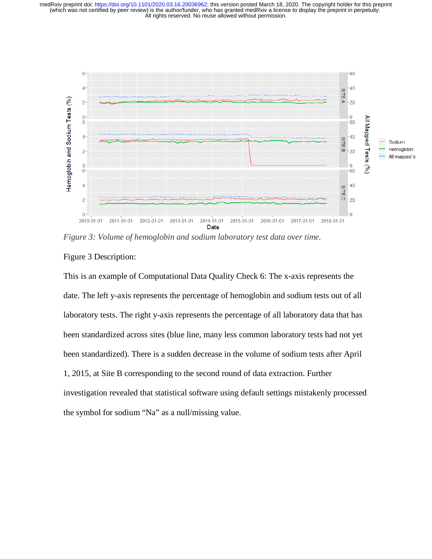

*Figure 3: Volume of hemoglobin and sodium laboratory test data over time.* 

#### Figure 3 Description:

This is an example of Computational Data Quality Check 6: The x-axis represents the date. The left y-axis represents the percentage of hemoglobin and sodium tests out of all laboratory tests. The right y-axis represents the percentage of all laboratory data that has been standardized across sites (blue line, many less common laboratory tests had not yet been standardized). There is a sudden decrease in the volume of sodium tests after April 1, 2015, at Site B corresponding to the second round of data extraction. Further investigation revealed that statistical software using default settings mistakenly processed the symbol for sodium "Na" as a null/missing value.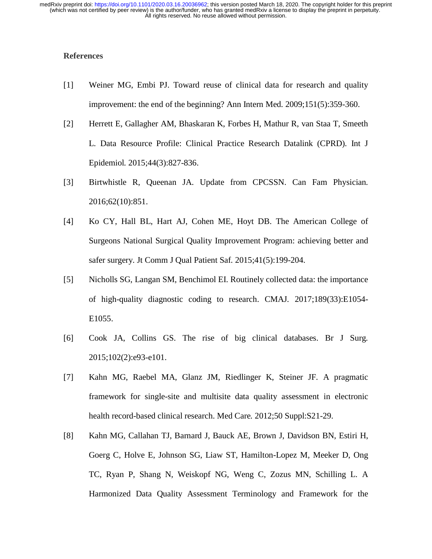#### **References**

- [1] Weiner MG, Embi PJ. Toward reuse of clinical data for research and quality improvement: the end of the beginning? Ann Intern Med*.* 2009;151(5):359-360.
- [2] Herrett E, Gallagher AM, Bhaskaran K, Forbes H, Mathur R, van Staa T, Smeeth L. Data Resource Profile: Clinical Practice Research Datalink (CPRD). Int J Epidemiol*.* 2015;44(3):827-836.
- [3] Birtwhistle R, Queenan JA. Update from CPCSSN. Can Fam Physician*.*  2016;62(10):851.
- [4] Ko CY, Hall BL, Hart AJ, Cohen ME, Hoyt DB. The American College of Surgeons National Surgical Quality Improvement Program: achieving better and safer surgery. Jt Comm J Qual Patient Saf*.* 2015;41(5):199-204.
- [5] Nicholls SG, Langan SM, Benchimol EI. Routinely collected data: the importance of high-quality diagnostic coding to research. CMAJ*.* 2017;189(33):E1054- E1055.
- [6] Cook JA, Collins GS. The rise of big clinical databases. Br J Surg*.*  2015;102(2):e93-e101.
- [7] Kahn MG, Raebel MA, Glanz JM, Riedlinger K, Steiner JF. A pragmatic framework for single-site and multisite data quality assessment in electronic health record-based clinical research. Med Care*.* 2012;50 Suppl:S21-29.
- [8] Kahn MG, Callahan TJ, Barnard J, Bauck AE, Brown J, Davidson BN, Estiri H, Goerg C, Holve E, Johnson SG, Liaw ST, Hamilton-Lopez M, Meeker D, Ong TC, Ryan P, Shang N, Weiskopf NG, Weng C, Zozus MN, Schilling L. A Harmonized Data Quality Assessment Terminology and Framework for the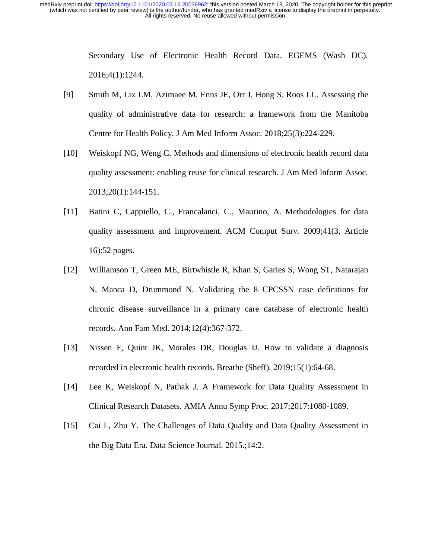> Secondary Use of Electronic Health Record Data. EGEMS (Wash DC)*.*  2016;4(1):1244.

- [9] Smith M, Lix LM, Azimaee M, Enns JE, Orr J, Hong S, Roos LL. Assessing the quality of administrative data for research: a framework from the Manitoba Centre for Health Policy. J Am Med Inform Assoc*.* 2018;25(3):224-229.
- [10] Weiskopf NG, Weng C. Methods and dimensions of electronic health record data quality assessment: enabling reuse for clinical research. J Am Med Inform Assoc*.*  2013;20(1):144-151.
- [11] Batini C, Cappiello, C., Francalanci, C., Maurino, A. Methodologies for data quality assessment and improvement. ACM Comput Surv*.* 2009;41(3, Article 16):52 pages.
- [12] Williamson T, Green ME, Birtwhistle R, Khan S, Garies S, Wong ST, Natarajan N, Manca D, Drummond N. Validating the 8 CPCSSN case definitions for chronic disease surveillance in a primary care database of electronic health records. Ann Fam Med*.* 2014;12(4):367-372.
- [13] Nissen F, Quint JK, Morales DR, Douglas IJ. How to validate a diagnosis recorded in electronic health records. Breathe (Sheff)*.* 2019;15(1):64-68.
- [14] Lee K, Weiskopf N, Pathak J. A Framework for Data Quality Assessment in Clinical Research Datasets. AMIA Annu Symp Proc*.* 2017;2017:1080-1089.
- [15] Cai L, Zhu Y. The Challenges of Data Quality and Data Quality Assessment in the Big Data Era. Data Science Journal*.* 2015.;14:2.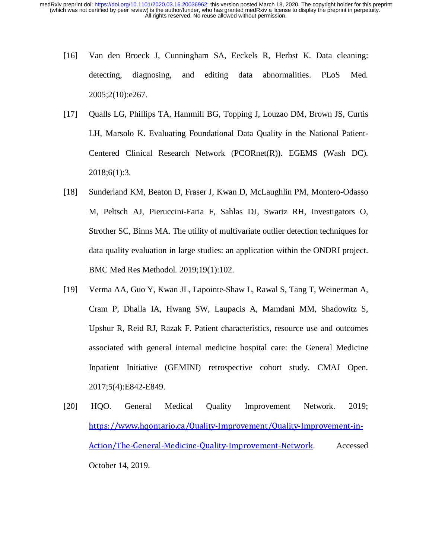- [16] Van den Broeck J, Cunningham SA, Eeckels R, Herbst K. Data cleaning: detecting, diagnosing, and editing data abnormalities. PLoS Med*.*  2005;2(10):e267.
- [17] Qualls LG, Phillips TA, Hammill BG, Topping J, Louzao DM, Brown JS, Curtis LH, Marsolo K. Evaluating Foundational Data Quality in the National Patient-Centered Clinical Research Network (PCORnet(R)). EGEMS (Wash DC)*.*  2018;6(1):3.
- [18] Sunderland KM, Beaton D, Fraser J, Kwan D, McLaughlin PM, Montero-Odasso M, Peltsch AJ, Pieruccini-Faria F, Sahlas DJ, Swartz RH, Investigators O, Strother SC, Binns MA. The utility of multivariate outlier detection techniques for data quality evaluation in large studies: an application within the ONDRI project. BMC Med Res Methodol*.* 2019;19(1):102.
- [19] Verma AA, Guo Y, Kwan JL, Lapointe-Shaw L, Rawal S, Tang T, Weinerman A, Cram P, Dhalla IA, Hwang SW, Laupacis A, Mamdani MM, Shadowitz S, Upshur R, Reid RJ, Razak F. Patient characteristics, resource use and outcomes associated with general internal medicine hospital care: the General Medicine Inpatient Initiative (GEMINI) retrospective cohort study. CMAJ Open*.*  2017;5(4):E842-E849.
- [20] HQO. General Medical Quality Improvement Network. 2019; https://www.hqontario.ca/Quality-Improvement/Quality-Improvement-in-Action/The-General-Medicine-Quality-Improvement-Network. Accessed October 14, 2019.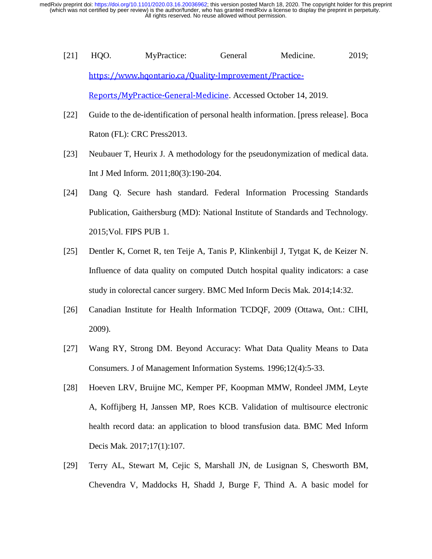- [21] HQO. MyPractice: General Medicine. 2019; https://www.hqontario.ca/Quality-Improvement/Practice-Reports/MyPractice-General-Medicine. Accessed October 14, 2019.
- [22] Guide to the de-identification of personal health information. [press release]. Boca Raton (FL): CRC Press2013.
- [23] Neubauer T, Heurix J. A methodology for the pseudonymization of medical data. Int J Med Inform*.* 2011;80(3):190-204.
- [24] Dang Q. Secure hash standard. Federal Information Processing Standards Publication, Gaithersburg (MD): National Institute of Standards and Technology*.*  2015;Vol. FIPS PUB 1.
- [25] Dentler K, Cornet R, ten Teije A, Tanis P, Klinkenbijl J, Tytgat K, de Keizer N. Influence of data quality on computed Dutch hospital quality indicators: a case study in colorectal cancer surgery. BMC Med Inform Decis Mak*.* 2014;14:32.
- [26] Canadian Institute for Health Information TCDQF, 2009 (Ottawa, Ont.: CIHI, 2009).
- [27] Wang RY, Strong DM. Beyond Accuracy: What Data Quality Means to Data Consumers. J of Management Information Systems*.* 1996;12(4):5-33.
- [28] Hoeven LRV, Bruijne MC, Kemper PF, Koopman MMW, Rondeel JMM, Leyte A, Koffijberg H, Janssen MP, Roes KCB. Validation of multisource electronic health record data: an application to blood transfusion data. BMC Med Inform Decis Mak*.* 2017;17(1):107.
- [29] Terry AL, Stewart M, Cejic S, Marshall JN, de Lusignan S, Chesworth BM, Chevendra V, Maddocks H, Shadd J, Burge F, Thind A. A basic model for